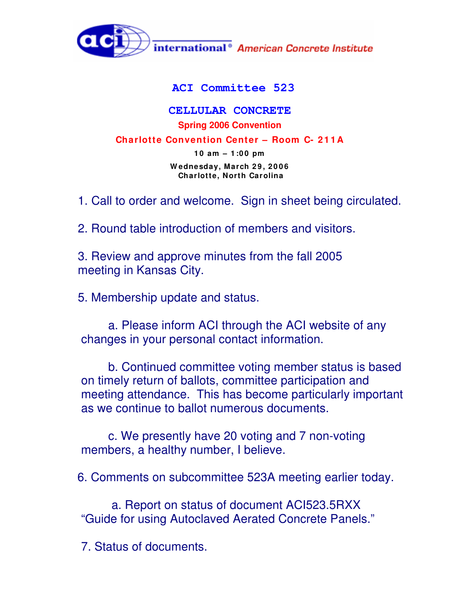

## **ACI Committee 523**

## **CELLULAR CONCRETE Spring 2006 Convention**

**Charlotte Convention Center – Room C- 2 1 1 A**

**1 0 am – 1 :0 0 pm W ednesday, March 2 9 , 2 0 0 6 Charlotte, North Carolina**

1. Call to order and welcome. Sign in sheet being circulated.

2. Round table introduction of members and visitors.

3. Review and approve minutes from the fall 2005 meeting in Kansas City.

5. Membership update and status.

a. Please inform ACI through the ACI website of any changes in your personal contact information.

b. Continued committee voting member status is based on timely return of ballots, committee participation and meeting attendance. This has become particularly important as we continue to ballot numerous documents.

c. We presently have 20 voting and 7 non-voting members, a healthy number, I believe.

6. Comments on subcommittee 523A meeting earlier today.

a. Report on status of document ACI523.5RXX "Guide for using Autoclaved Aerated Concrete Panels."

7. Status of documents.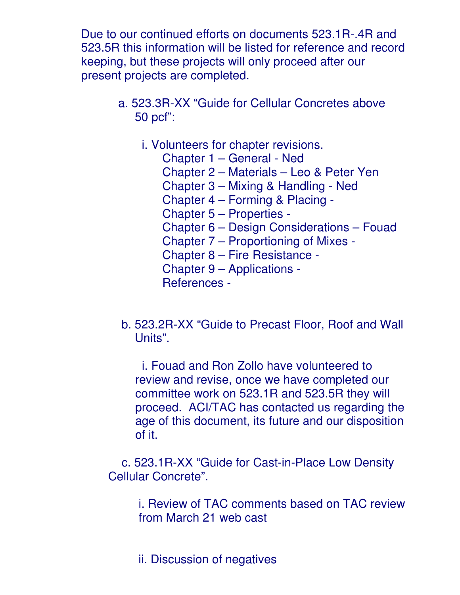Due to our continued efforts on documents 523.1R-.4R and 523.5R this information will be listed for reference and record keeping, but these projects will only proceed after our present projects are completed.

- a. 523.3R-XX "Guide for Cellular Concretes above 50 pcf":
	- i. Volunteers for chapter revisions.
		- Chapter 1 General Ned
		- Chapter 2 Materials Leo & Peter Yen
		- Chapter 3 Mixing & Handling Ned
		- Chapter 4 Forming & Placing -
		- Chapter 5 Properties -
		- Chapter 6 Design Considerations Fouad
		- Chapter 7 Proportioning of Mixes -
		- Chapter 8 Fire Resistance -
		- Chapter 9 Applications -
		- References -
- b. 523.2R-XX "Guide to Precast Floor, Roof and Wall Units".

i. Fouad and Ron Zollo have volunteered to review and revise, once we have completed our committee work on 523.1R and 523.5R they will proceed. ACI/TAC has contacted us regarding the age of this document, its future and our disposition of it.

c. 523.1R-XX "Guide for Cast-in-Place Low Density Cellular Concrete".

> i. Review of TAC comments based on TAC review from March 21 web cast

ii. Discussion of negatives